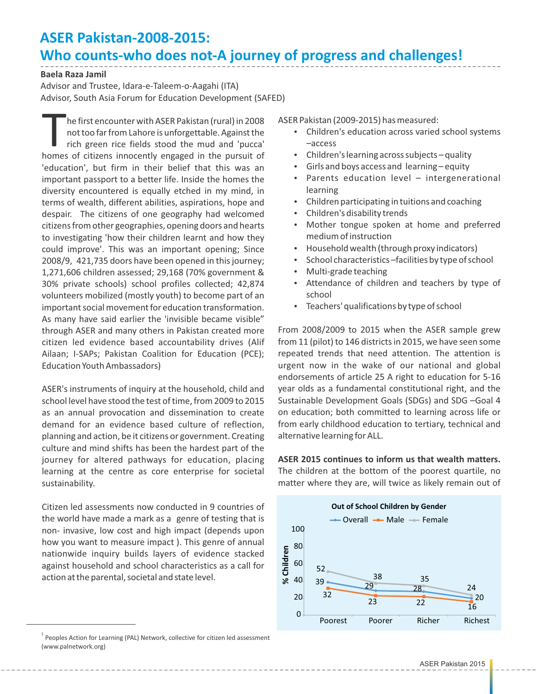## **ASER Pakistan-2008-2015: Who counts-who does not-A journey of progress and challenges!**

## **Baela Raza Jamil**

Advisor and Trustee, Idara-e-Taleem-o-Aagahi (ITA) Advisor, South Asia Forum for Education Development (SAFED)

The first encounter with ASER Pakistan (rural) in 2008<br>not too far from Lahore is unforgettable. Against the<br>rich green rice fields stood the mud and 'pucca'<br>homes of citizens innocently engaged in the pursuit of he first encounter with ASER Pakistan (rural) in 2008 not too far from Lahore is unforgettable. Against the rich green rice fields stood the mud and 'pucca' 'education', but firm in their belief that this was an important passport to a better life. Inside the homes the diversity encountered is equally etched in my mind, in terms of wealth, different abilities, aspirations, hope and despair. The citizens of one geography had welcomed citizens from other geographies, opening doors and hearts to investigating 'how their children learnt and how they could improve'. This was an important opening; Since 2008/9, 421,735 doors have been opened in this journey; 1,271,606 children assessed; 29,168 (70% government & 30% private schools) school profiles collected; 42,874 volunteers mobilized (mostly youth) to become part of an important social movement for education transformation. As many have said earlier the 'invisible became visible" through ASER and many others in Pakistan created more citizen led evidence based accountability drives (Alif Ailaan; I-SAPs; Pakistan Coalition for Education (PCE); Education Youth Ambassadors)

ASER's instruments of inquiry at the household, child and school level have stood the test of time, from 2009 to 2015 as an annual provocation and dissemination to create demand for an evidence based culture of reflection, planning and action, be it citizens or government. Creating culture and mind shifts has been the hardest part of the journey for altered pathways for education, placing learning at the centre as core enterprise for societal sustainability.

Citizen led assessments now conducted in 9 countries of the world have made a mark as a genre of testing that is non- invasive, low cost and high impact (depends upon how you want to measure impact ). This genre of annual nationwide inquiry builds layers of evidence stacked against household and school characteristics as a call for action at the parental, societal and state level.

ASER Pakistan (2009-2015) has measured:

- Children's education across varied school systems –access
- $\cdot$  Children's learning across subjects quality
- $\cdot$  Girls and boys access and learning equity
- Parents education level intergenerational learning
- Children participating in tuitions and coaching
- Children's disability trends
- Mother tongue spoken at home and preferred medium of instruction
- $\cdot$  Household wealth (through proxy indicators)
- School characteristics –facilities by type of school
- Multi-grade teaching
- Attendance of children and teachers by type of school
- Teachers' qualifications by type of school

From 2008/2009 to 2015 when the ASER sample grew from 11 (pilot) to 146 districts in 2015, we have seen some repeated trends that need attention. The attention is urgent now in the wake of our national and global endorsements of article 25 A right to education for 5-16 year olds as a fundamental constitutional right, and the Sustainable Development Goals (SDGs) and SDG –Goal 4 on education; both committed to learning across life or from early childhood education to tertiary, technical and alternative learning for ALL.

**ASER 2015 continues to inform us that wealth matters.** The children at the bottom of the poorest quartile, no matter where they are, will twice as likely remain out of



 $1$  Peoples Action for Learning (PAL) Network, collective for citizen led assessment (www.palnetwork.org)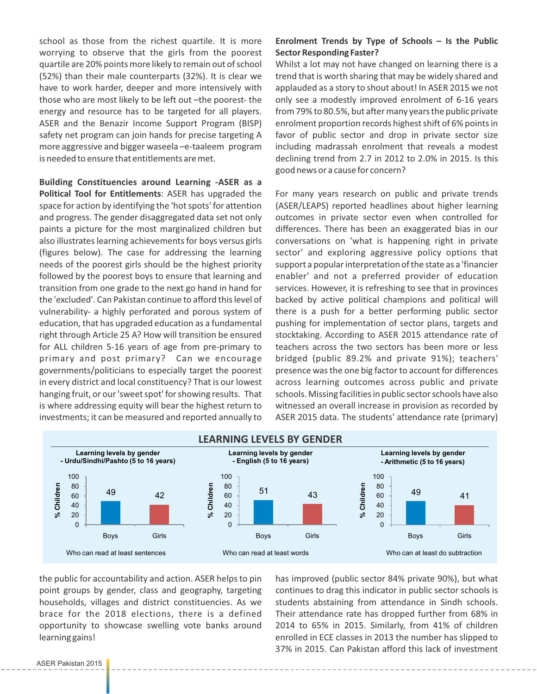school as those from the richest quartile. It is more worrying to observe that the girls from the poorest quartile are 20% points more likely to remain out of school (52%) than their male counterparts (32%). It is clear we have to work harder, deeper and more intensively with those who are most likely to be left out –the poorest- the energy and resource has to be targeted for all players. ASER and the Benazir Income Support Program (BISP) safety net program can join hands for precise targeting A more aggressive and bigger waseela –e-taaleem program is needed to ensure that entitlements are met.

**Building Constituencies around Learning -ASER as a Political Tool for Entitlements**: ASER has upgraded the space for action by identifying the 'hot spots' for attention and progress. The gender disaggregated data set not only paints a picture for the most marginalized children but also illustrates learning achievements for boys versus girls (figures below). The case for addressing the learning needs of the poorest girls should be the highest priority followed by the poorest boys to ensure that learning and transition from one grade to the next go hand in hand for the 'excluded'. Can Pakistan continue to afford this level of vulnerability- a highly perforated and porous system of education, that has upgraded education as a fundamental right through Article 25 A? How will transition be ensured for ALL children 5-16 years of age from pre-primary to primary and post primary? Can we encourage governments/politicians to especially target the poorest in every district and local constituency? That is our lowest hanging fruit, or our 'sweet spot' for showing results. That is where addressing equity will bear the highest return to investments; it can be measured and reported annually to

## **Enrolment Trends by Type of Schools – Is the Public Sector Responding Faster?**

Whilst a lot may not have changed on learning there is a trend that is worth sharing that may be widely shared and applauded as a story to shout about! In ASER 2015 we not only see a modestly improved enrolment of 6-16 years from 79% to 80.5%, but after many years the public private enrolment proportion records highest shift of 6% points in favor of public sector and drop in private sector size including madrassah enrolment that reveals a modest declining trend from 2.7 in 2012 to 2.0% in 2015. Is this good news or a cause for concern?

For many years research on public and private trends (ASER/LEAPS) reported headlines about higher learning outcomes in private sector even when controlled for differences. There has been an exaggerated bias in our conversations on 'what is happening right in private sector' and exploring aggressive policy options that support a popular interpretation of the state as a 'financier enabler' and not a preferred provider of education services. However, it is refreshing to see that in provinces backed by active political champions and political will there is a push for a better performing public sector pushing for implementation of sector plans, targets and stocktaking. According to ASER 2015 attendance rate of teachers across the two sectors has been more or less bridged (public 89.2% and private 91%); teachers' presence was the one big factor to account for differences across learning outcomes across public and private schools. Missing facilities in public sector schools have also witnessed an overall increase in provision as recorded by ASER 2015 data. The students' attendance rate (primary)



the public for accountability and action. ASER helps to pin point groups by gender, class and geography, targeting households, villages and district constituencies. As we brace for the 2018 elections, there is a defined opportunity to showcase swelling vote banks around learning gains!

has improved (public sector 84% private 90%), but what continues to drag this indicator in public sector schools is students abstaining from attendance in Sindh schools. Their attendance rate has dropped further from 68% in 2014 to 65% in 2015. Similarly, from 41% of children enrolled in ECE classes in 2013 the number has slipped to 37% in 2015. Can Pakistan afford this lack of investment